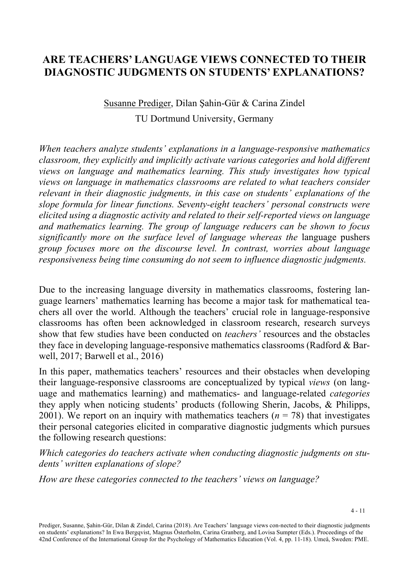# **ARE TEACHERS' LANGUAGE VIEWS CONNECTED TO THEIR DIAGNOSTIC JUDGMENTS ON STUDENTS' EXPLANATIONS?**

# Susanne Prediger, Dilan Şahin-Gür & Carina Zindel TU Dortmund University, Germany

*When teachers analyze students' explanations in a language-responsive mathematics classroom, they explicitly and implicitly activate various categories and hold different views on language and mathematics learning. This study investigates how typical views on language in mathematics classrooms are related to what teachers consider relevant in their diagnostic judgments, in this case on students' explanations of the slope formula for linear functions. Seventy-eight teachers' personal constructs were elicited using a diagnostic activity and related to their self-reported views on language and mathematics learning. The group of language reducers can be shown to focus significantly more on the surface level of language whereas the* language pushers *group focuses more on the discourse level. In contrast, worries about language responsiveness being time consuming do not seem to influence diagnostic judgments.* 

Due to the increasing language diversity in mathematics classrooms, fostering language learners' mathematics learning has become a major task for mathematical teachers all over the world. Although the teachers' crucial role in language-responsive classrooms has often been acknowledged in classroom research, research surveys show that few studies have been conducted on *teachers'* resources and the obstacles they face in developing language-responsive mathematics classrooms (Radford & Barwell, 2017; Barwell et al., 2016)

In this paper, mathematics teachers' resources and their obstacles when developing their language-responsive classrooms are conceptualized by typical *views* (on language and mathematics learning) and mathematics- and language-related *categories* they apply when noticing students' products (following Sherin, Jacobs, & Philipps, 2001). We report on an inquiry with mathematics teachers  $(n = 78)$  that investigates their personal categories elicited in comparative diagnostic judgments which pursues the following research questions:

*Which categories do teachers activate when conducting diagnostic judgments on students' written explanations of slope?* 

*How are these categories connected to the teachers' views on language?* 

Prediger, Susanne, Şahin-Gür, Dilan & Zindel, Carina (2018). Are Teachers' language views con-nected to their diagnostic judgments on students' explanations? In Ewa Bergqvist, Magnus Österholm, Carina Granberg, and Lovisa Sumpter (Eds.). Proceedings of the 42nd Conference of the International Group for the Psychology of Mathematics Education (Vol. 4, pp. 11-18). Umeå, Sweden: PME.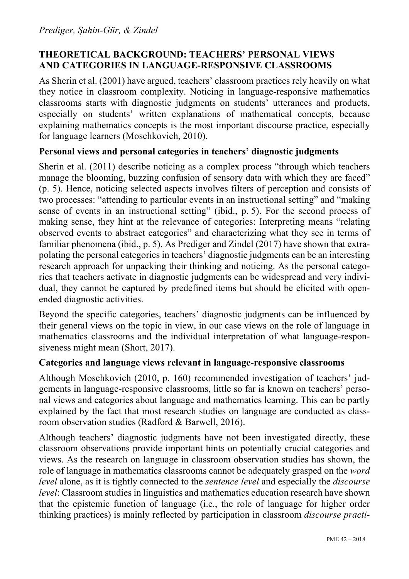# **THEORETICAL BACKGROUND: TEACHERS' PERSONAL VIEWS AND CATEGORIES IN LANGUAGE-RESPONSIVE CLASSROOMS**

As Sherin et al. (2001) have argued, teachers' classroom practices rely heavily on what they notice in classroom complexity. Noticing in language-responsive mathematics classrooms starts with diagnostic judgments on students' utterances and products, especially on students' written explanations of mathematical concepts, because explaining mathematics concepts is the most important discourse practice, especially for language learners (Moschkovich, 2010).

### **Personal views and personal categories in teachers' diagnostic judgments**

Sherin et al. (2011) describe noticing as a complex process "through which teachers manage the blooming, buzzing confusion of sensory data with which they are faced" (p. 5). Hence, noticing selected aspects involves filters of perception and consists of two processes: "attending to particular events in an instructional setting" and "making sense of events in an instructional setting" (ibid., p. 5). For the second process of making sense, they hint at the relevance of categories: Interpreting means "relating observed events to abstract categories" and characterizing what they see in terms of familiar phenomena (ibid., p. 5). As Prediger and Zindel (2017) have shown that extrapolating the personal categories in teachers' diagnostic judgments can be an interesting research approach for unpacking their thinking and noticing. As the personal categories that teachers activate in diagnostic judgments can be widespread and very individual, they cannot be captured by predefined items but should be elicited with openended diagnostic activities.

Beyond the specific categories, teachers' diagnostic judgments can be influenced by their general views on the topic in view, in our case views on the role of language in mathematics classrooms and the individual interpretation of what language-responsiveness might mean (Short, 2017).

### **Categories and language views relevant in language-responsive classrooms**

Although Moschkovich (2010, p. 160) recommended investigation of teachers' judgements in language-responsive classrooms, little so far is known on teachers' personal views and categories about language and mathematics learning. This can be partly explained by the fact that most research studies on language are conducted as classroom observation studies (Radford & Barwell, 2016).

Although teachers' diagnostic judgments have not been investigated directly, these classroom observations provide important hints on potentially crucial categories and views. As the research on language in classroom observation studies has shown, the role of language in mathematics classrooms cannot be adequately grasped on the *word level* alone, as it is tightly connected to the *sentence level* and especially the *discourse level*: Classroom studies in linguistics and mathematics education research have shown that the epistemic function of language (i.e., the role of language for higher order thinking practices) is mainly reflected by participation in classroom *discourse practi-*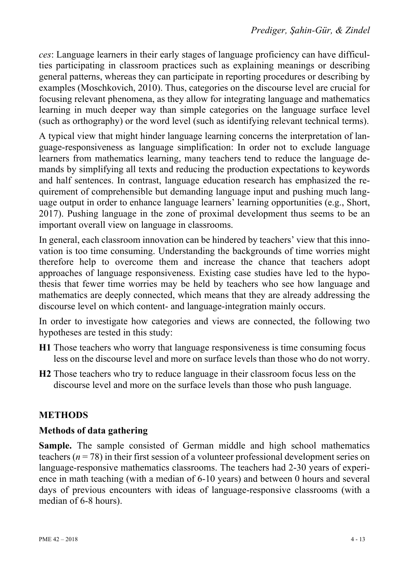*ces*: Language learners in their early stages of language proficiency can have difficulties participating in classroom practices such as explaining meanings or describing general patterns, whereas they can participate in reporting procedures or describing by examples (Moschkovich, 2010). Thus, categories on the discourse level are crucial for focusing relevant phenomena, as they allow for integrating language and mathematics learning in much deeper way than simple categories on the language surface level (such as orthography) or the word level (such as identifying relevant technical terms).

A typical view that might hinder language learning concerns the interpretation of language-responsiveness as language simplification: In order not to exclude language learners from mathematics learning, many teachers tend to reduce the language demands by simplifying all texts and reducing the production expectations to keywords and half sentences. In contrast, language education research has emphasized the requirement of comprehensible but demanding language input and pushing much language output in order to enhance language learners' learning opportunities (e.g., Short, 2017). Pushing language in the zone of proximal development thus seems to be an important overall view on language in classrooms.

In general, each classroom innovation can be hindered by teachers' view that this innovation is too time consuming. Understanding the backgrounds of time worries might therefore help to overcome them and increase the chance that teachers adopt approaches of language responsiveness. Existing case studies have led to the hypothesis that fewer time worries may be held by teachers who see how language and mathematics are deeply connected, which means that they are already addressing the discourse level on which content- and language-integration mainly occurs.

In order to investigate how categories and views are connected, the following two hypotheses are tested in this study:

- **H1** Those teachers who worry that language responsiveness is time consuming focus less on the discourse level and more on surface levels than those who do not worry.
- **H2** Those teachers who try to reduce language in their classroom focus less on the discourse level and more on the surface levels than those who push language.

# **METHODS**

### **Methods of data gathering**

**Sample.** The sample consisted of German middle and high school mathematics teachers (*n* = 78) in their first session of a volunteer professional development series on language-responsive mathematics classrooms. The teachers had 2-30 years of experience in math teaching (with a median of 6-10 years) and between 0 hours and several days of previous encounters with ideas of language-responsive classrooms (with a median of 6-8 hours).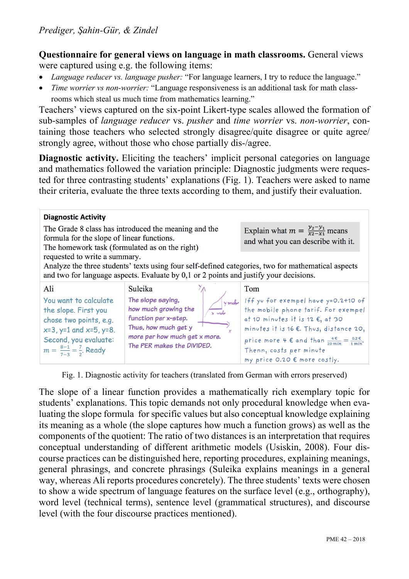**Questionnaire for general views on language in math classrooms.** General views were captured using e.g. the following items:

- *Language reducer vs. language pusher:* "For language learners, I try to reduce the language."
- *Time worrier vs non-worrier:* "Language responsiveness is an additional task for math classrooms which steal us much time from mathematics learning."

Teachers' views captured on the six-point Likert-type scales allowed the formation of sub-samples of *language reducer* vs. *pusher* and *time worrier* vs. *non-worrier*, containing those teachers who selected strongly disagree/quite disagree or quite agree/ strongly agree, without those who chose partially dis-/agree.

**Diagnostic activity.** Eliciting the teachers' implicit personal categories on language and mathematics followed the variation principle: Diagnostic judgments were requested for three contrasting students' explanations (Fig. 1). Teachers were asked to name their criteria, evaluate the three texts according to them, and justify their evaluation.

| <b>Diagnostic Activity</b><br>formula for the slope of linear functions.<br>The homework task (formulated as on the right)                                                                                                   | The Grade 8 class has introduced the meaning and the                                                        | Explain what $m = \frac{y_2 - y_1}{x_2 - x_1}$ means<br>and what you can describe with it.                                                                                                                                                                    |  |  |  |  |  |
|------------------------------------------------------------------------------------------------------------------------------------------------------------------------------------------------------------------------------|-------------------------------------------------------------------------------------------------------------|---------------------------------------------------------------------------------------------------------------------------------------------------------------------------------------------------------------------------------------------------------------|--|--|--|--|--|
| requested to write a summary.<br>Analyze the three students' texts using four self-defined categories, two for mathematical aspects<br>and two for language aspects. Evaluate by 0,1 or 2 points and justify your decisions. |                                                                                                             |                                                                                                                                                                                                                                                               |  |  |  |  |  |
| Ali<br>You want to calculate<br>the slope. First you                                                                                                                                                                         | Suleika<br>The slope saying,<br>Ymehr<br>how much growing the                                               | Tom<br>Iff yu for exempel have y=0.2+10 of<br>the mobile phone tarif. For exempel                                                                                                                                                                             |  |  |  |  |  |
| chose two points, e.g.<br>$x=3$ , $y=1$ and $x=5$ , $y=8$ .<br>Second, you evaluate:<br>$m = \frac{8-1}{7-3} = \frac{7}{2}$ . Ready                                                                                          | function per x-step.<br>Thus, how much get y<br>more per how much get x more.<br>The PER makes the DIVIDED. | at 10 minutes it is 12 $\epsilon$ , at 30<br>minutes it is 16 €. Thus, distance 20,<br>price more 4 $\epsilon$ and than $\frac{4 \epsilon}{20 \text{ min}} = \frac{0.2 \epsilon}{1 \text{ min}}$ .<br>Thenn, costs per minute<br>my price 0.20 € more costly. |  |  |  |  |  |

Fig. 1. Diagnostic activity for teachers (translated from German with errors preserved)

The slope of a linear function provides a mathematically rich exemplary topic for students' explanations. This topic demands not only procedural knowledge when evaluating the slope formula for specific values but also conceptual knowledge explaining its meaning as a whole (the slope captures how much a function grows) as well as the components of the quotient: The ratio of two distances is an interpretation that requires conceptual understanding of different arithmetic models (Usiskin, 2008). Four discourse practices can be distinguished here, reporting procedures, explaining meanings, general phrasings, and concrete phrasings (Suleika explains meanings in a general way, whereas Ali reports procedures concretely). The three students' texts were chosen to show a wide spectrum of language features on the surface level (e.g., orthography), word level (technical terms), sentence level (grammatical structures), and discourse level (with the four discourse practices mentioned).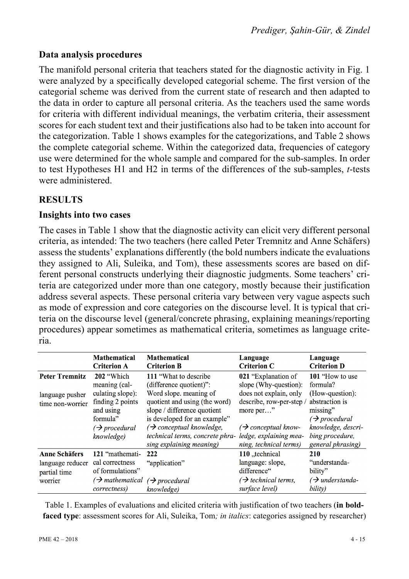# **Data analysis procedures**

The manifold personal criteria that teachers stated for the diagnostic activity in Fig. 1 were analyzed by a specifically developed categorial scheme. The first version of the categorial scheme was derived from the current state of research and then adapted to the data in order to capture all personal criteria. As the teachers used the same words for criteria with different individual meanings, the verbatim criteria, their assessment scores for each student text and their justifications also had to be taken into account for the categorization. Table 1 shows examples for the categorizations, and Table 2 shows the complete categorial scheme. Within the categorized data, frequencies of category use were determined for the whole sample and compared for the sub-samples. In order to test Hypotheses H1 and H2 in terms of the differences of the sub-samples, *t*-tests were administered.

# **RESULTS**

### **Insights into two cases**

The cases in Table 1 show that the diagnostic activity can elicit very different personal criteria, as intended: The two teachers (here called Peter Tremnitz and Anne Schäfers) assess the students' explanations differently (the bold numbers indicate the evaluations they assigned to Ali, Suleika, and Tom), these assessments scores are based on different personal constructs underlying their diagnostic judgments. Some teachers' criteria are categorized under more than one category, mostly because their justification address several aspects. These personal criteria vary between very vague aspects such as mode of expression and core categories on the discourse level. It is typical that criteria on the discourse level (general/concrete phrasing, explaining meanings/reporting procedures) appear sometimes as mathematical criteria, sometimes as language criteria.

|                                                                     | <b>Mathematical</b>                                                                                          | <b>Mathematical</b>                                                                                                                                                                                                          | Language                                                                                                                                              | Language                                                                                                                                |
|---------------------------------------------------------------------|--------------------------------------------------------------------------------------------------------------|------------------------------------------------------------------------------------------------------------------------------------------------------------------------------------------------------------------------------|-------------------------------------------------------------------------------------------------------------------------------------------------------|-----------------------------------------------------------------------------------------------------------------------------------------|
|                                                                     | <b>Criterion A</b>                                                                                           | <b>Criterion B</b>                                                                                                                                                                                                           | <b>Criterion C</b>                                                                                                                                    | <b>Criterion D</b>                                                                                                                      |
| <b>Peter Tremnitz</b>                                               | 202 "Which                                                                                                   | 111 "What to describe"                                                                                                                                                                                                       | 021 "Explanation of                                                                                                                                   | 101 "How to use"                                                                                                                        |
|                                                                     | meaning (cal-                                                                                                | (difference quotient)":                                                                                                                                                                                                      | slope (Why-question):                                                                                                                                 | formula?                                                                                                                                |
| language pusher<br>time non-worrier                                 | culating slope):<br>finding 2 points<br>and using<br>formula"<br>$\rightarrow$ procedural<br>knowledge)      | Word slope. meaning of<br>quotient and using (the word)<br>slope / difference quotient<br>is developed for an example"<br>$\rightarrow$ conceptual knowledge,<br>technical terms, concrete phra-<br>sing explaining meaning) | does not explain, only<br>describe, row-per-step /<br>more per"<br>$\rightarrow$ conceptual know-<br>ledge, explaining mea-<br>ning, technical terms) | (How-question):<br>abstraction is<br>missing"<br>$\rightarrow$ procedural<br>knowledge, descri-<br>bing procedure,<br>general phrasing) |
| <b>Anne Schäfers</b><br>language reducer<br>partial time<br>worrier | 121 "mathemati-<br>cal correctness<br>of formulations"<br>$\rightarrow$ mathematical<br><i>correctness</i> ) | 222<br>"application"<br>$\rightarrow$ procedural<br>knowledge)                                                                                                                                                               | 110 "technical<br>language: slope,<br>difference"<br>$\rightarrow$ technical terms,<br>surface level)                                                 | <b>210</b><br>"understanda-<br>bility"<br>$\rightarrow$ understanda-<br>bility)                                                         |

Table 1. Examples of evaluations and elicited criteria with justification of two teachers (**in boldfaced type**: assessment scores for Ali, Suleika, Tom*; in italics*: categories assigned by researcher)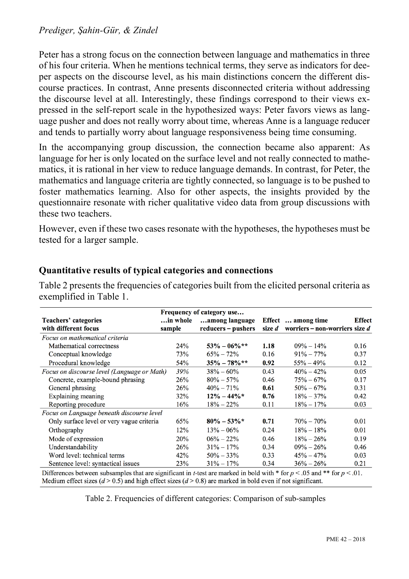#### *Prediger, Şahin-Gür, & Zindel*

Peter has a strong focus on the connection between language and mathematics in three of his four criteria. When he mentions technical terms, they serve as indicators for deeper aspects on the discourse level, as his main distinctions concern the different discourse practices. In contrast, Anne presents disconnected criteria without addressing the discourse level at all. Interestingly, these findings correspond to their views expressed in the self-report scale in the hypothesized ways: Peter favors views as language pusher and does not really worry about time, whereas Anne is a language reducer and tends to partially worry about language responsiveness being time consuming.

In the accompanying group discussion, the connection became also apparent: As language for her is only located on the surface level and not really connected to mathematics, it is rational in her view to reduce language demands. In contrast, for Peter, the mathematics and language criteria are tightly connected, so language is to be pushed to foster mathematics learning. Also for other aspects, the insights provided by the questionnaire resonate with richer qualitative video data from group discussions with these two teachers.

However, even if these two cases resonate with the hypotheses, the hypotheses must be tested for a larger sample.

| Frequency of category use                    |                    |                                      |        |                                                        |               |  |  |  |  |
|----------------------------------------------|--------------------|--------------------------------------|--------|--------------------------------------------------------|---------------|--|--|--|--|
| Teachers' categories<br>with different focus | in whole<br>sample | among language<br>reducers – pushers | size d | Effect  among time<br>worriers – non-worriers size $d$ | <b>Effect</b> |  |  |  |  |
| Focus on mathematical criteria               |                    |                                      |        |                                                        |               |  |  |  |  |
| Mathematical correctness                     | 24%                | $53\% - 06\%$ **                     | 1.18   | $09\% - 14\%$                                          | 0.16          |  |  |  |  |
| Conceptual knowledge                         | 73%                | $65\% - 72\%$                        | 0.16   | $91\% - 77\%$                                          | 0.37          |  |  |  |  |
| Procedural knowledge                         | 54%                | $35\% - 78\% *$                      | 0.92   | $55\% - 49\%$                                          | 0.12          |  |  |  |  |
| Focus on discourse level (Language or Math)  | 39%                | $38\% - 60\%$                        | 0.43   | $40\% - 42\%$                                          | 0.05          |  |  |  |  |
| Concrete, example-bound phrasing             | 26%                | $80\% - 57\%$                        | 0.46   | $75\% - 67\%$                                          | 0.17          |  |  |  |  |
| General phrasing                             | 26%                | $40\% - 71\%$                        | 0.61   | $50\% - 67\%$                                          | 0.31          |  |  |  |  |
| Explaining meaning                           | 32%                | $12\% - 44\% *$                      | 0.76   | $18\% - 37\%$                                          | 0.42          |  |  |  |  |
| Reporting procedure                          | 16%                | $18\% - 22\%$                        | 0.11   | $18\% - 17\%$                                          | 0.03          |  |  |  |  |
| Focus on Language beneath discourse level    |                    |                                      |        |                                                        |               |  |  |  |  |
| Only surface level or very vague criteria    | 65%                | $80\% - 53\% *$                      | 0.71   | $70\% - 70\%$                                          | 0.01          |  |  |  |  |
| Orthography                                  | 12%                | $13\% - 06\%$                        | 0.24   | $18\% - 18\%$                                          | 0.01          |  |  |  |  |
| Mode of expression                           | <b>20%</b>         | $06\% - 22\%$                        | 0.46   | $18\% - 26\%$                                          | 0.19          |  |  |  |  |
| Understandability                            | 26%                | $31\% - 17\%$                        | 0.34   | $09\% - 26\%$                                          | 0.46          |  |  |  |  |
| Word level: technical terms                  | 42%                | $50\% - 33\%$                        | 0.33   | $45\% - 47\%$                                          | 0.03          |  |  |  |  |
| Sentence level: syntactical issues           | 23%                | $31\% - 17\%$                        | 0.34   | $36\% - 26\%$                                          | 0.21          |  |  |  |  |

#### **Quantitative results of typical categories and connections**

Table 2 presents the frequencies of categories built from the elicited personal criteria as exemplified in Table 1.

Differences between subsamples that are significant in *t*-test are marked in bold with  $*$  for  $p < 0.05$  and  $**$  for  $p < 0.01$ . Medium effect sizes ( $d > 0.5$ ) and high effect sizes ( $d > 0.8$ ) are marked in bold even if not significant.

Table 2. Frequencies of different categories: Comparison of sub-samples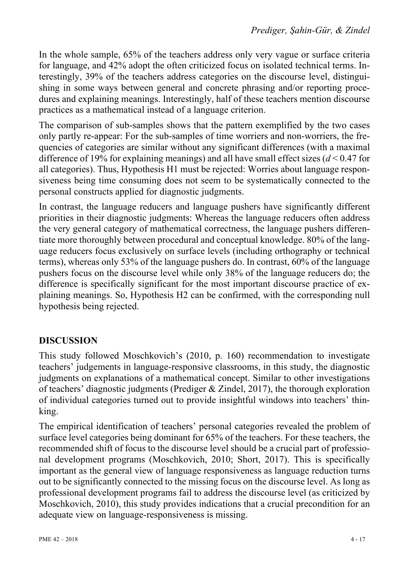In the whole sample, 65% of the teachers address only very vague or surface criteria for language, and 42% adopt the often criticized focus on isolated technical terms. Interestingly, 39% of the teachers address categories on the discourse level, distinguishing in some ways between general and concrete phrasing and/or reporting procedures and explaining meanings. Interestingly, half of these teachers mention discourse practices as a mathematical instead of a language criterion.

The comparison of sub-samples shows that the pattern exemplified by the two cases only partly re-appear: For the sub-samples of time worriers and non-worriers, the frequencies of categories are similar without any significant differences (with a maximal difference of 19% for explaining meanings) and all have small effect sizes (*d* < 0.47 for all categories). Thus, Hypothesis H1 must be rejected: Worries about language responsiveness being time consuming does not seem to be systematically connected to the personal constructs applied for diagnostic judgments.

In contrast, the language reducers and language pushers have significantly different priorities in their diagnostic judgments: Whereas the language reducers often address the very general category of mathematical correctness, the language pushers differentiate more thoroughly between procedural and conceptual knowledge. 80% of the language reducers focus exclusively on surface levels (including orthography or technical terms), whereas only 53% of the language pushers do. In contrast, 60% of the language pushers focus on the discourse level while only 38% of the language reducers do; the difference is specifically significant for the most important discourse practice of explaining meanings. So, Hypothesis H2 can be confirmed, with the corresponding null hypothesis being rejected.

# **DISCUSSION**

This study followed Moschkovich's (2010, p. 160) recommendation to investigate teachers' judgements in language-responsive classrooms, in this study, the diagnostic judgments on explanations of a mathematical concept. Similar to other investigations of teachers' diagnostic judgments (Prediger & Zindel, 2017), the thorough exploration of individual categories turned out to provide insightful windows into teachers' thinking.

The empirical identification of teachers' personal categories revealed the problem of surface level categories being dominant for 65% of the teachers. For these teachers, the recommended shift of focus to the discourse level should be a crucial part of professional development programs (Moschkovich, 2010; Short, 2017). This is specifically important as the general view of language responsiveness as language reduction turns out to be significantly connected to the missing focus on the discourse level. As long as professional development programs fail to address the discourse level (as criticized by Moschkovich, 2010), this study provides indications that a crucial precondition for an adequate view on language-responsiveness is missing.